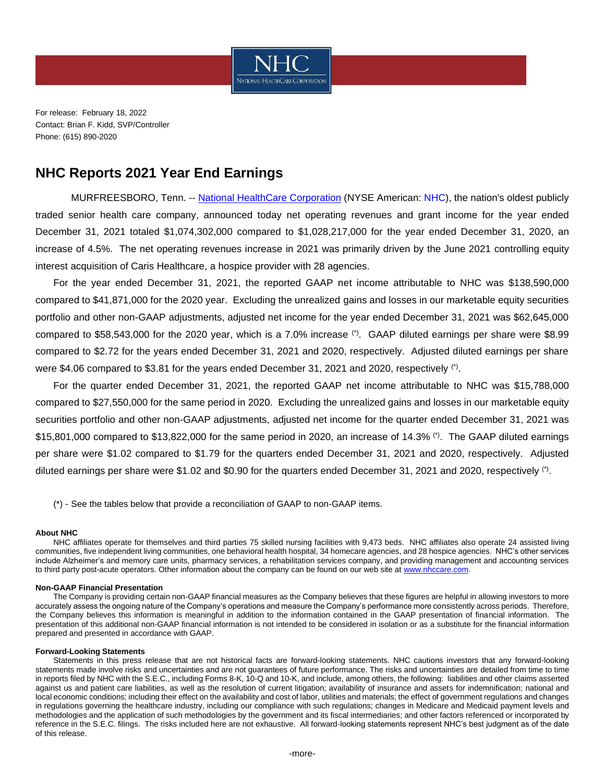

For release: February 18, 2022 Contact: Brian F. Kidd, SVP/Controller Phone: (615) 890-2020

# **NHC Reports 2021 Year End Earnings**

MURFREESBORO, Tenn. -- [National HealthCare Corporation](http://www.nhccare.com/) (NYSE American: [NHC\)](http://www.nhccare.com/), the nation's oldest publicly traded senior health care company, announced today net operating revenues and grant income for the year ended December 31, 2021 totaled \$1,074,302,000 compared to \$1,028,217,000 for the year ended December 31, 2020, an increase of 4.5%. The net operating revenues increase in 2021 was primarily driven by the June 2021 controlling equity interest acquisition of Caris Healthcare, a hospice provider with 28 agencies.

For the year ended December 31, 2021, the reported GAAP net income attributable to NHC was \$138,590,000 compared to \$41,871,000 for the 2020 year. Excluding the unrealized gains and losses in our marketable equity securities portfolio and other non-GAAP adjustments, adjusted net income for the year ended December 31, 2021 was \$62,645,000 compared to \$58,543,000 for the 2020 year, which is a 7.0% increase (\*) . GAAP diluted earnings per share were \$8.99 compared to \$2.72 for the years ended December 31, 2021 and 2020, respectively. Adjusted diluted earnings per share were \$4.06 compared to \$3.81 for the years ended December 31, 2021 and 2020, respectively <sup>(\*)</sup>.

For the quarter ended December 31, 2021, the reported GAAP net income attributable to NHC was \$15,788,000 compared to \$27,550,000 for the same period in 2020. Excluding the unrealized gains and losses in our marketable equity securities portfolio and other non-GAAP adjustments, adjusted net income for the quarter ended December 31, 2021 was \$15,801,000 compared to \$13,822,000 for the same period in 2020, an increase of 14.3% (\*) . The GAAP diluted earnings per share were \$1.02 compared to \$1.79 for the quarters ended December 31, 2021 and 2020, respectively. Adjusted diluted earnings per share were \$1.02 and \$0.90 for the quarters ended December 31, 2021 and 2020, respectively (\*) .

(\*) - See the tables below that provide a reconciliation of GAAP to non-GAAP items.

#### **About NHC**

NHC affiliates operate for themselves and third parties 75 skilled nursing facilities with 9,473 beds. NHC affiliates also operate 24 assisted living communities, five independent living communities, one behavioral health hospital, 34 homecare agencies, and 28 hospice agencies. NHC's other services include Alzheimer's and memory care units, pharmacy services, a rehabilitation services company, and providing management and accounting services to third party post-acute operators. Other information about the company can be found on our web site a[t www.nhccare.com.](http://www.nhccare.com/)

#### **Non-GAAP Financial Presentation**

The Company is providing certain non-GAAP financial measures as the Company believes that these figures are helpful in allowing investors to more accurately assess the ongoing nature of the Company's operations and measure the Company's performance more consistently across periods. Therefore, the Company believes this information is meaningful in addition to the information contained in the GAAP presentation of financial information. The presentation of this additional non-GAAP financial information is not intended to be considered in isolation or as a substitute for the financial information prepared and presented in accordance with GAAP.

#### **Forward-Looking Statements**

Statements in this press release that are not historical facts are forward-looking statements. NHC cautions investors that any forward-looking statements made involve risks and uncertainties and are not guarantees of future performance. The risks and uncertainties are detailed from time to time in reports filed by NHC with the S.E.C., including Forms 8-K, 10-Q and 10-K, and include, among others, the following: liabilities and other claims asserted against us and patient care liabilities, as well as the resolution of current litigation; availability of insurance and assets for indemnification; national and local economic conditions; including their effect on the availability and cost of labor, utilities and materials; the effect of government regulations and changes in regulations governing the healthcare industry, including our compliance with such regulations; changes in Medicare and Medicard payment levels and methodologies and the application of such methodologies by the government and its fiscal intermediaries; and other factors referenced or incorporated by reference in the S.E.C. filings. The risks included here are not exhaustive. All forward-looking statements represent NHC's best judgment as of the date of this release.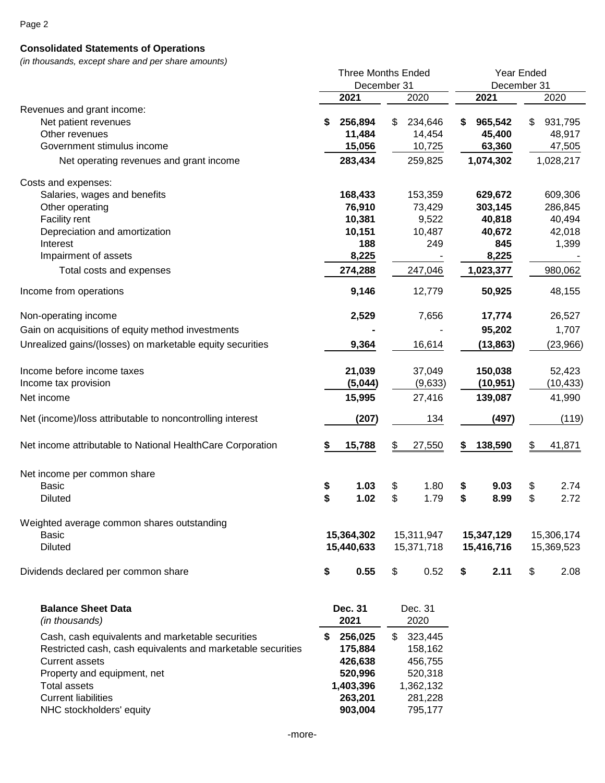### Page 2

## **Consolidated Statements of Operations**

*(in thousands, except share and per share amounts)*

|                                                                                                                                          | <b>Three Months Ended</b>          |            |                                     |             | <b>Year Ended</b> |            |            |            |  |  |
|------------------------------------------------------------------------------------------------------------------------------------------|------------------------------------|------------|-------------------------------------|-------------|-------------------|------------|------------|------------|--|--|
|                                                                                                                                          | December 31                        |            |                                     | December 31 |                   |            |            |            |  |  |
|                                                                                                                                          |                                    | 2021       |                                     | 2020        |                   | 2021       |            | 2020       |  |  |
| Revenues and grant income:                                                                                                               |                                    |            |                                     |             |                   |            |            |            |  |  |
| Net patient revenues                                                                                                                     | S                                  | 256,894    | S.                                  | 234,646     |                   | 965,542    |            | 931,795    |  |  |
| Other revenues                                                                                                                           |                                    | 11,484     |                                     | 14,454      |                   | 45,400     |            | 48,917     |  |  |
| Government stimulus income                                                                                                               |                                    | 15,056     |                                     | 10,725      |                   | 63,360     |            | 47,505     |  |  |
| Net operating revenues and grant income                                                                                                  |                                    | 283,434    |                                     | 259,825     |                   | 1,074,302  |            | 1,028,217  |  |  |
| Costs and expenses:                                                                                                                      |                                    |            |                                     |             |                   |            |            |            |  |  |
| Salaries, wages and benefits                                                                                                             |                                    | 168,433    |                                     | 153,359     |                   | 629,672    |            | 609,306    |  |  |
| Other operating                                                                                                                          |                                    | 76,910     |                                     | 73,429      |                   | 303,145    |            | 286,845    |  |  |
| Facility rent                                                                                                                            |                                    | 10,381     |                                     | 9,522       |                   | 40,818     |            | 40,494     |  |  |
| Depreciation and amortization                                                                                                            |                                    | 10,151     |                                     | 10,487      |                   | 40,672     |            | 42,018     |  |  |
| Interest                                                                                                                                 |                                    | 188        |                                     | 249         |                   | 845        |            | 1,399      |  |  |
| Impairment of assets                                                                                                                     |                                    | 8,225      |                                     |             |                   | 8,225      |            |            |  |  |
| Total costs and expenses                                                                                                                 |                                    | 274,288    |                                     | 247,046     |                   | 1,023,377  |            | 980,062    |  |  |
| Income from operations                                                                                                                   |                                    | 9,146      |                                     | 12,779      |                   | 50,925     |            | 48,155     |  |  |
| Non-operating income                                                                                                                     |                                    | 2,529      |                                     | 7,656       |                   | 17,774     |            | 26,527     |  |  |
| Gain on acquisitions of equity method investments                                                                                        |                                    |            |                                     |             |                   | 95,202     |            | 1,707      |  |  |
| Unrealized gains/(losses) on marketable equity securities                                                                                |                                    | 9,364      |                                     | 16,614      |                   | (13, 863)  |            | (23,966)   |  |  |
|                                                                                                                                          |                                    |            |                                     |             |                   |            |            |            |  |  |
| Income before income taxes                                                                                                               |                                    | 21,039     |                                     | 37,049      |                   | 150,038    |            | 52,423     |  |  |
| Income tax provision                                                                                                                     |                                    | (5,044)    |                                     | (9,633)     |                   | (10, 951)  |            | (10, 433)  |  |  |
| Net income                                                                                                                               |                                    | 15,995     |                                     | 27,416      |                   | 139,087    |            | 41,990     |  |  |
| Net (income)/loss attributable to noncontrolling interest                                                                                |                                    | (207)      |                                     | 134         |                   | (497)      |            | (119)      |  |  |
| Net income attributable to National HealthCare Corporation                                                                               | \$                                 | 15,788     | \$                                  | 27,550      | \$                | 138,590    | \$         | 41,871     |  |  |
| Net income per common share                                                                                                              |                                    |            |                                     |             |                   |            |            |            |  |  |
| <b>Basic</b>                                                                                                                             | \$                                 | 1.03       | \$                                  | 1.80        | \$                | 9.03       | \$         | 2.74       |  |  |
| <b>Diluted</b>                                                                                                                           | \$                                 | 1.02       | \$                                  | 1.79        | \$                | 8.99       | \$         | 2.72       |  |  |
| Weighted average common shares outstanding                                                                                               |                                    |            |                                     |             |                   |            |            |            |  |  |
| <b>Basic</b>                                                                                                                             | 15,364,302                         |            |                                     | 15,311,947  | 15,347,129        |            | 15,306,174 |            |  |  |
| <b>Diluted</b>                                                                                                                           |                                    | 15,440,633 |                                     | 15,371,718  |                   | 15,416,716 |            | 15,369,523 |  |  |
| Dividends declared per common share                                                                                                      | \$                                 | 0.55       | \$                                  | 0.52        | \$                | 2.11       | \$         | 2.08       |  |  |
| <b>Balance Sheet Data</b>                                                                                                                | <b>Dec. 31</b>                     |            | Dec. 31                             |             |                   |            |            |            |  |  |
| (in thousands)                                                                                                                           | 2021                               |            | 2020                                |             |                   |            |            |            |  |  |
| Cash, cash equivalents and marketable securities<br>Restricted cash, cash equivalents and marketable securities<br><b>Current assets</b> | 256,025<br>S<br>175,884<br>426,638 |            | \$<br>323,445<br>158,162<br>456,755 |             |                   |            |            |            |  |  |
| Property and equipment, net                                                                                                              |                                    | 520,996    |                                     | 520,318     |                   |            |            |            |  |  |
| <b>Total assets</b>                                                                                                                      |                                    | 1,403,396  |                                     | 1,362,132   |                   |            |            |            |  |  |
| <b>Current liabilities</b>                                                                                                               |                                    | 263,201    |                                     | 281,228     |                   |            |            |            |  |  |

NHC stockholders' equity **903,004** 795,177